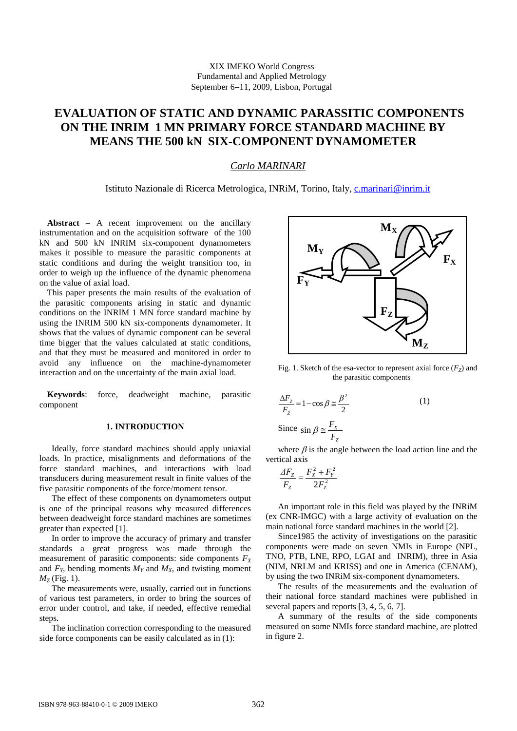# **EVALUATION OF STATIC AND DYNAMIC PARASSITIC COMPONENTS ON THE INRIM 1 MN PRIMARY FORCE STANDARD MACHINE BY MEANS THE 500 kN SIX-COMPONENT DYNAMOMETER**

# *Carlo MARINARI*

## Istituto Nazionale di Ricerca Metrologica, INRiM, Torino, Italy, [c.marinari@inrim.it](mailto:c.marinari@inrim.it)

**Abstract –** A recent improvement on the ancillary instrumentation and on the acquisition software of the 100 kN and 500 kN INRIM six-component dynamometers makes it possible to measure the parasitic components at static conditions and during the weight transition too, in order to weigh up the influence of the dynamic phenomena on the value of axial load.

This paper presents the main results of the evaluation of the parasitic components arising in static and dynamic conditions on the INRIM 1 MN force standard machine by using the INRIM 500 kN six-components dynamometer. It shows that the values of dynamic component can be several time bigger that the values calculated at static conditions, and that they must be measured and monitored in order to avoid any influence on the machine-dynamometer interaction and on the uncertainty of the main axial load.

**Keywords**: force, deadweight machine, parasitic component

## **1. INTRODUCTION**

Ideally, force standard machines should apply uniaxial loads. In practice, misalignments and deformations of the force standard machines, and interactions with load transducers during measurement result in finite values of the five parasitic components of the force/moment tensor.

The effect of these components on dynamometers output is one of the principal reasons why measured differences between deadweight force standard machines are sometimes greater than expected [1].

In order to improve the accuracy of primary and transfer standards a great progress was made through the measurement of parasitic components: side components  $F_X$ and  $F_Y$ , bending moments  $M_Y$  and  $M_X$ , and twisting moment  $M_{7}$  (Fig. 1).

The measurements were, usually, carried out in functions of various test parameters, in order to bring the sources of error under control, and take, if needed, effective remedial steps**.**

The inclination correction corresponding to the measured side force components can be easily calculated as in (1):



Fig. 1. Sketch of the esa-vector to represent axial force  $(F<sub>z</sub>)$  and the parasitic components

$$
\frac{\Delta F_z}{F_z} = 1 - \cos \beta \approx \frac{\beta^2}{2}
$$
\n
$$
\text{Since } \sin \beta \approx \frac{F_x}{F_z} \tag{1}
$$

where  $\beta$  is the angle between the load action line and the vertical axis

$$
\frac{\Delta F_Z}{F_Z} = \frac{F_X^2 + F_Y^2}{2F_Z^2}
$$

An important role in this field was played by the INRiM (ex CNR-IMGC) with a large activity of evaluation on the main national force standard machines in the world [2].

Since1985 the activity of investigations on the parasitic components were made on seven NMIs in Europe (NPL, TNO, PTB, LNE, RPO, LGAI and INRIM), three in Asia (NIM, NRLM and KRISS) and one in America (CENAM), by using the two INRiM six-component dynamometers.

The results of the measurements and the evaluation of their national force standard machines were published in several papers and reports [3, 4, 5, 6, 7].

A summary of the results of the side components measured on some NMIs force standard machine, are plotted in figure 2.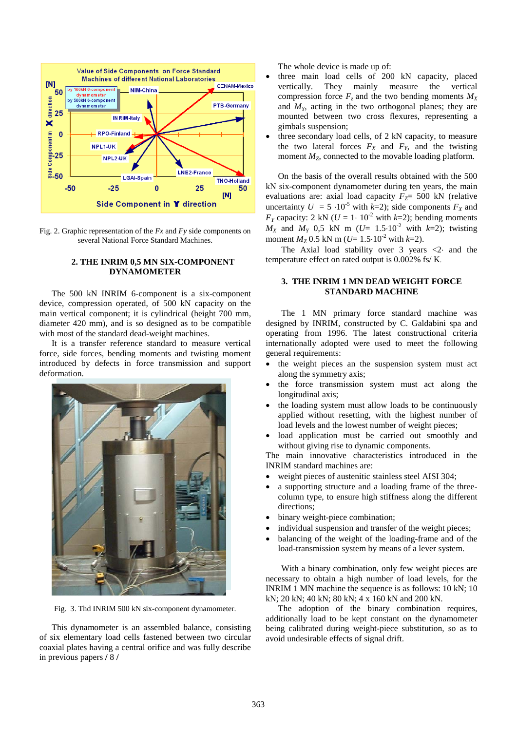

 Fig. 2. Graphic representation of the *Fx* and *Fy* side components on several National Force Standard Machines.

# **2. THE INRIM 0,5 MN SIX-COMPONENT DYNAMOMETER**

The 500 kN INRIM 6-component is a six-component device, compression operated, of 500 kN capacity on the main vertical component; it is cylindrical (height 700 mm, diameter 420 mm), and is so designed as to be compatible with most of the standard dead-weight machines.

It is a transfer reference standard to measure vertical force, side forces, bending moments and twisting moment introduced by defects in force transmission and support deformation.



Fig. 3. Thd INRIM 500 kN six-component dynamometer.

This dynamometer is an assembled balance, consisting of six elementary load cells fastened between two circular coaxial plates having a central orifice and was fully describe in previous papers **/** 8 **/**

The whole device is made up of:

- three main load cells of 200 kN capacity, placed vertically. They mainly measure the vertical compression force  $F_z$  and the two bending moments  $M_X$ and *MY*, acting in the two orthogonal planes; they are mounted between two cross flexures, representing a gimbals suspension;
- three secondary load cells, of 2 kN capacity, to measure the two lateral forces  $F_X$  and  $F_Y$ , and the twisting moment  $M_Z$ , connected to the movable loading platform.

On the basis of the overall results obtained with the 500 kN six-component dynamometer during ten years, the main evaluations are: axial load capacity  $F_Z$ = 500 kN (relative uncertainty  $U = 5 \cdot 10^{-5}$  with  $k=2$ ); side components  $F_X$  and *F<sub>Y</sub>* capacity: 2 kN ( $U = 1 \cdot 10^{-2}$  with  $k=2$ ); bending moments  $M_X$  and  $M_Y$  0,5 kN m (*U*= 1.5⋅10<sup>-2</sup> with *k*=2); twisting moment  $M_Z$  0.5 kN m ( $U=$  1.5⋅10<sup>-2</sup> with  $k=$ 2).

The Axial load stability over 3 years <2⋅ and the temperature effect on rated output is 0.002% fs/ K.

## **3. THE INRIM 1 MN DEAD WEIGHT FORCE STANDARD MACHINE**

The 1 MN primary force standard machine was designed by INRIM, constructed by C. Galdabini spa and operating from 1996. The latest constructional criteria internationally adopted were used to meet the following general requirements:

- the weight pieces an the suspension system must act along the symmetry axis;
- the force transmission system must act along the longitudinal axis;
- the loading system must allow loads to be continuously applied without resetting, with the highest number of load levels and the lowest number of weight pieces;
- load application must be carried out smoothly and without giving rise to dynamic components.

The main innovative characteristics introduced in the INRIM standard machines are:

- weight pieces of austenitic stainless steel AISI 304;
- a supporting structure and a loading frame of the threecolumn type, to ensure high stiffness along the different directions;
- binary weight-piece combination;
- individual suspension and transfer of the weight pieces;
- balancing of the weight of the loading-frame and of the load-transmission system by means of a lever system.

With a binary combination, only few weight pieces are necessary to obtain a high number of load levels, for the INRIM 1 MN machine the sequence is as follows: 10 kN; 10 kN; 20 kN; 40 kN; 80 kN; 4 x 160 kN and 200 kN.

The adoption of the binary combination requires, additionally load to be kept constant on the dynamometer being calibrated during weight-piece substitution, so as to avoid undesirable effects of signal drift.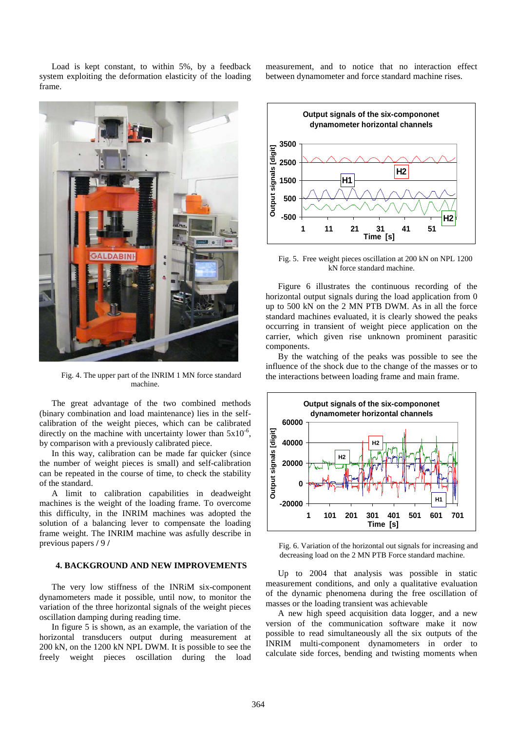Load is kept constant, to within 5%, by a feedback system exploiting the deformation elasticity of the loading frame.



Fig. 4. The upper part of the INRIM 1 MN force standard machine.

The great advantage of the two combined methods (binary combination and load maintenance) lies in the selfcalibration of the weight pieces, which can be calibrated directly on the machine with uncertainty lower than  $5x10^{-6}$ , by comparison with a previously calibrated piece.

In this way, calibration can be made far quicker (since the number of weight pieces is small) and self-calibration can be repeated in the course of time, to check the stability of the standard.

A limit to calibration capabilities in deadweight machines is the weight of the loading frame. To overcome this difficulty, in the INRIM machines was adopted the solution of a balancing lever to compensate the loading frame weight. The INRIM machine was asfully describe in previous papers **/** 9 **/**

### **4. BACKGROUND AND NEW IMPROVEMENTS**

The very low stiffness of the INRiM six-component dynamometers made it possible, until now, to monitor the variation of the three horizontal signals of the weight pieces oscillation damping during reading time.

In figure 5 is shown, as an example, the variation of the horizontal transducers output during measurement at 200 kN, on the 1200 kN NPL DWM. It is possible to see the freely weight pieces oscillation during the load measurement, and to notice that no interaction effect between dynamometer and force standard machine rises.



Fig. 5. Free weight pieces oscillation at 200 kN on NPL 1200 kN force standard machine.

Figure 6 illustrates the continuous recording of the horizontal output signals during the load application from 0 up to 500 kN on the 2 MN PTB DWM. As in all the force standard machines evaluated, it is clearly showed the peaks occurring in transient of weight piece application on the carrier, which given rise unknown prominent parasitic components.

By the watching of the peaks was possible to see the influence of the shock due to the change of the masses or to the interactions between loading frame and main frame.



Fig. 6. Variation of the horizontal out signals for increasing and decreasing load on the 2 MN PTB Force standard machine.

Up to 2004 that analysis was possible in static measurement conditions, and only a qualitative evaluation of the dynamic phenomena during the free oscillation of masses or the loading transient was achievable

A new high speed acquisition data logger, and a new version of the communication software make it now possible to read simultaneously all the six outputs of the INRIM multi-component dynamometers in order to calculate side forces, bending and twisting moments when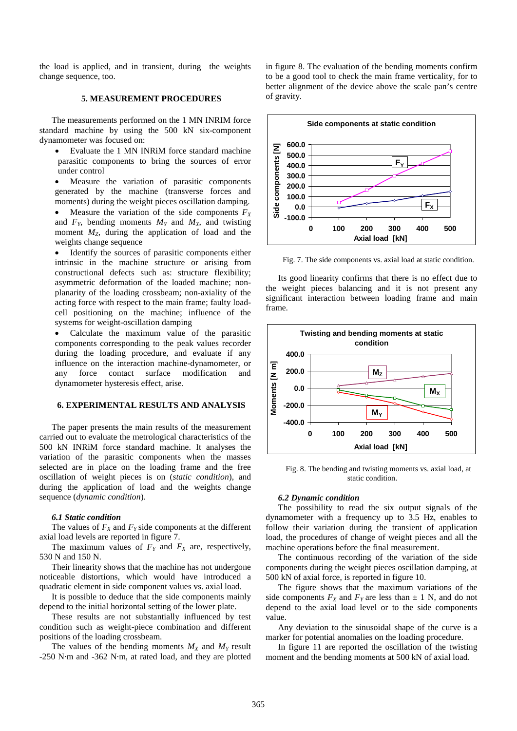the load is applied, and in transient, during the weights change sequence, too.

### **5. MEASUREMENT PROCEDURES**

The measurements performed on the 1 MN INRIM force standard machine by using the 500 kN six-component dynamometer was focused on:

• Evaluate the 1 MN INRiM force standard machine parasitic components to bring the sources of error under control

Measure the variation of parasitic components generated by the machine (transverse forces and moments) during the weight pieces oscillation damping.

Measure the variation of the side components  $F_X$ and  $F_Y$ , bending moments  $M_Y$  and  $M_X$ , and twisting moment  $M_z$ , during the application of load and the weights change sequence

Identify the sources of parasitic components either intrinsic in the machine structure or arising from constructional defects such as: structure flexibility; asymmetric deformation of the loaded machine; nonplanarity of the loading crossbeam; non-axiality of the acting force with respect to the main frame; faulty loadcell positioning on the machine; influence of the systems for weight-oscillation damping

• Calculate the maximum value of the parasitic components corresponding to the peak values recorder during the loading procedure, and evaluate if any influence on the interaction machine-dynamometer, or any force contact surface modification and dynamometer hysteresis effect, arise.

#### **6. EXPERIMENTAL RESULTS AND ANALYSIS**

The paper presents the main results of the measurement carried out to evaluate the metrological characteristics of the 500 kN INRiM force standard machine. It analyses the variation of the parasitic components when the masses selected are in place on the loading frame and the free oscillation of weight pieces is on (*static condition*), and during the application of load and the weights change sequence (*dynamic condition*).

#### *6.1 Static condition*

The values of  $F_X$  and  $F_Y$  side components at the different axial load levels are reported in figure 7.

The maximum values of  $F_Y$  and  $F_X$  are, respectively, 530 N and 150 N.

Their linearity shows that the machine has not undergone noticeable distortions, which would have introduced a quadratic element in side component values vs. axial load.

It is possible to deduce that the side components mainly depend to the initial horizontal setting of the lower plate.

These results are not substantially influenced by test condition such as weight-piece combination and different positions of the loading crossbeam.

The values of the bending moments  $M_X$  and  $M_Y$  result -250 N·m and -362 N·m, at rated load, and they are plotted in figure 8. The evaluation of the bending moments confirm to be a good tool to check the main frame verticality, for to better alignment of the device above the scale pan's centre of gravity.



Fig. 7. The side components vs. axial load at static condition.

Its good linearity confirms that there is no effect due to the weight pieces balancing and it is not present any significant interaction between loading frame and main frame.



Fig. 8. The bending and twisting moments vs. axial load, at static condition.

#### *6.2 Dynamic condition*

The possibility to read the six output signals of the dynamometer with a frequency up to 3.5 Hz, enables to follow their variation during the transient of application load, the procedures of change of weight pieces and all the machine operations before the final measurement.

The continuous recording of the variation of the side components during the weight pieces oscillation damping, at 500 kN of axial force, is reported in figure 10.

The figure shows that the maximum variations of the side components  $F_X$  and  $F_Y$  are less than  $\pm$  1 N, and do not depend to the axial load level or to the side components value.

Any deviation to the sinusoidal shape of the curve is a marker for potential anomalies on the loading procedure.

In figure 11 are reported the oscillation of the twisting moment and the bending moments at 500 kN of axial load.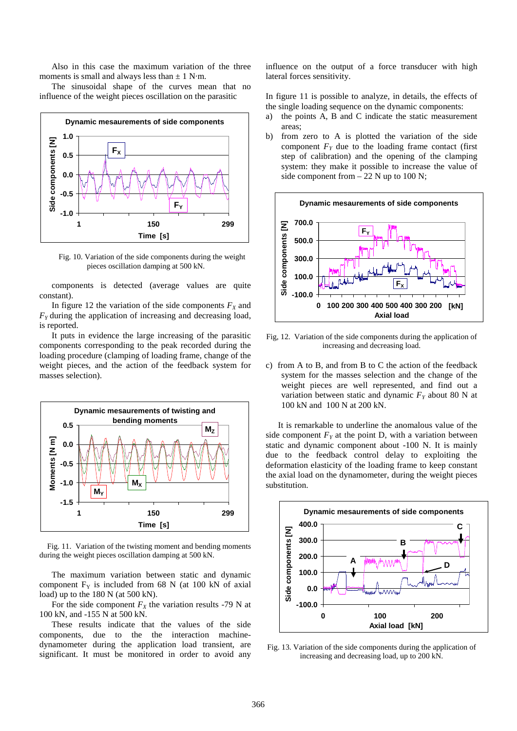Also in this case the maximum variation of the three moments is small and always less than  $\pm$  1 N·m.

The sinusoidal shape of the curves mean that no influence of the weight pieces oscillation on the parasitic



Fig. 10. Variation of the side components during the weight pieces oscillation damping at 500 kN.

components is detected (average values are quite constant).

In figure 12 the variation of the side components  $F_X$  and *FY* during the application of increasing and decreasing load, is reported.

It puts in evidence the large increasing of the parasitic components corresponding to the peak recorded during the loading procedure (clamping of loading frame, change of the weight pieces, and the action of the feedback system for masses selection).



Fig. 11. Variation of the twisting moment and bending moments during the weight pieces oscillation damping at 500 kN.

The maximum variation between static and dynamic component  $F<sub>Y</sub>$  is included from 68 N (at 100 kN of axial load) up to the 180 N (at 500 kN).

For the side component  $F_X$  the variation results -79 N at 100 kN, and -155 N at 500 kN.

These results indicate that the values of the side components, due to the the interaction machinedynamometer during the application load transient, are significant. It must be monitored in order to avoid any influence on the output of a force transducer with high lateral forces sensitivity.

In figure 11 is possible to analyze, in details, the effects of the single loading sequence on the dynamic components:

- a) the points A, B and C indicate the static measurement areas;
- b) from zero to A is plotted the variation of the side component  $F_Y$  due to the loading frame contact (first step of calibration) and the opening of the clamping system: they make it possible to increase the value of side component from  $-22$  N up to 100 N;



Fig, 12. Variation of the side components during the application of increasing and decreasing load.

c) from A to B, and from B to C the action of the feedback system for the masses selection and the change of the weight pieces are well represented, and find out a variation between static and dynamic  $F<sub>Y</sub>$  about 80 N at 100 kN and 100 N at 200 kN.

It is remarkable to underline the anomalous value of the side component  $F<sub>y</sub>$  at the point D, with a variation between static and dynamic component about -100 N. It is mainly due to the feedback control delay to exploiting the deformation elasticity of the loading frame to keep constant the axial load on the dynamometer, during the weight pieces substitution.



Fig. 13. Variation of the side components during the application of increasing and decreasing load, up to 200 kN.